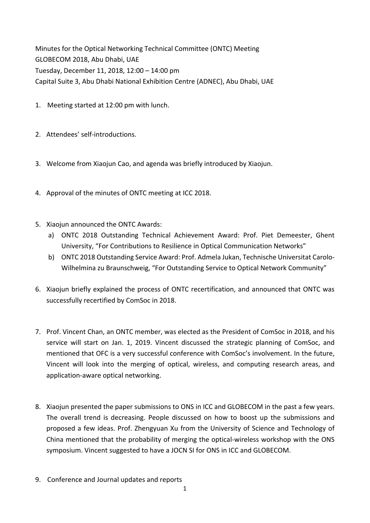Minutes for the Optical Networking Technical Committee (ONTC) Meeting GLOBECOM 2018, Abu Dhabi, UAE Tuesday, December 11, 2018, 12:00 – 14:00 pm Capital Suite 3, Abu Dhabi National Exhibition Centre (ADNEC), Abu Dhabi, UAE

- 1. Meeting started at 12:00 pm with lunch.
- 2. Attendees' self-introductions.
- 3. Welcome from Xiaojun Cao, and agenda was briefly introduced by Xiaojun.
- 4. Approval of the minutes of ONTC meeting at ICC 2018.
- 5. Xiaojun announced the ONTC Awards:
	- a) ONTC 2018 Outstanding Technical Achievement Award: Prof. Piet Demeester, Ghent University, "For Contributions to Resilience in Optical Communication Networks"
	- b) ONTC 2018 Outstanding Service Award: Prof. Admela Jukan, Technische Universitat Carolo-Wilhelmina zu Braunschweig, "For Outstanding Service to Optical Network Community"
- 6. Xiaojun briefly explained the process of ONTC recertification, and announced that ONTC was successfully recertified by ComSoc in 2018.
- 7. Prof. Vincent Chan, an ONTC member, was elected as the President of ComSoc in 2018, and his service will start on Jan. 1, 2019. Vincent discussed the strategic planning of ComSoc, and mentioned that OFC is a very successful conference with ComSoc's involvement. In the future, Vincent will look into the merging of optical, wireless, and computing research areas, and application‐aware optical networking.
- 8. Xiaojun presented the paper submissions to ONS in ICC and GLOBECOM in the past a few years. The overall trend is decreasing. People discussed on how to boost up the submissions and proposed a few ideas. Prof. Zhengyuan Xu from the University of Science and Technology of China mentioned that the probability of merging the optical‐wireless workshop with the ONS symposium. Vincent suggested to have a JOCN SI for ONS in ICC and GLOBECOM.
- 9. Conference and Journal updates and reports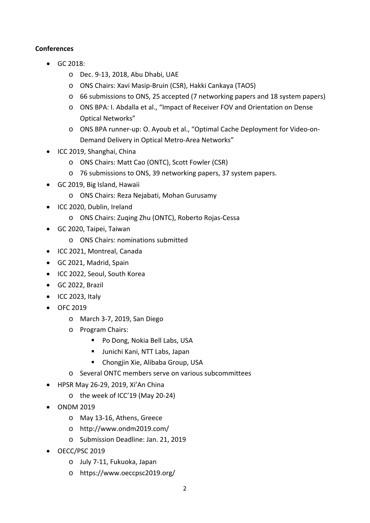## **Conferences**

- GC 2018:
	- o Dec. 9‐13, 2018, Abu Dhabi, UAE
	- o ONS Chairs: Xavi Masip‐Bruin (CSR), Hakki Cankaya (TAOS)
	- o 66 submissions to ONS, 25 accepted (7 networking papers and 18 system papers)
	- o ONS BPA: I. Abdalla et al., "Impact of Receiver FOV and Orientation on Dense Optical Networks"
	- o ONS BPA runner‐up: O. Ayoub et al., "Optimal Cache Deployment for Video‐on‐ Demand Delivery in Optical Metro‐Area Networks"
- ICC 2019, Shanghai, China
	- o ONS Chairs: Matt Cao (ONTC), Scott Fowler (CSR)
	- o 76 submissions to ONS, 39 networking papers, 37 system papers.
- GC 2019, Big Island, Hawaii
	- o ONS Chairs: Reza Nejabati, Mohan Gurusamy
- ICC 2020, Dublin, Ireland
	- o ONS Chairs: Zuqing Zhu (ONTC), Roberto Rojas‐Cessa
- GC 2020, Taipei, Taiwan
	- o ONS Chairs: nominations submitted
- ICC 2021, Montreal, Canada
- GC 2021, Madrid, Spain
- ICC 2022, Seoul, South Korea
- GC 2022, Brazil
- $\bullet$  ICC 2023, Italy
- OFC 2019
	- o March 3‐7, 2019, San Diego
	- o Program Chairs:
		- Po Dong, Nokia Bell Labs, USA
		- Junichi Kani, NTT Labs, Japan
		- **E** Chongjin Xie, Alibaba Group, USA
	- o Several ONTC members serve on various subcommittees
- HPSR May 26-29, 2019, Xi'An China
	- o the week of ICC'19 (May 20‐24)
- ONDM 2019
	- o May 13‐16, Athens, Greece
	- o http://www.ondm2019.com/
	- o Submission Deadline: Jan. 21, 2019
- OECC/PSC 2019
	- o July 7‐11, Fukuoka, Japan
	- o https://www.oeccpsc2019.org/